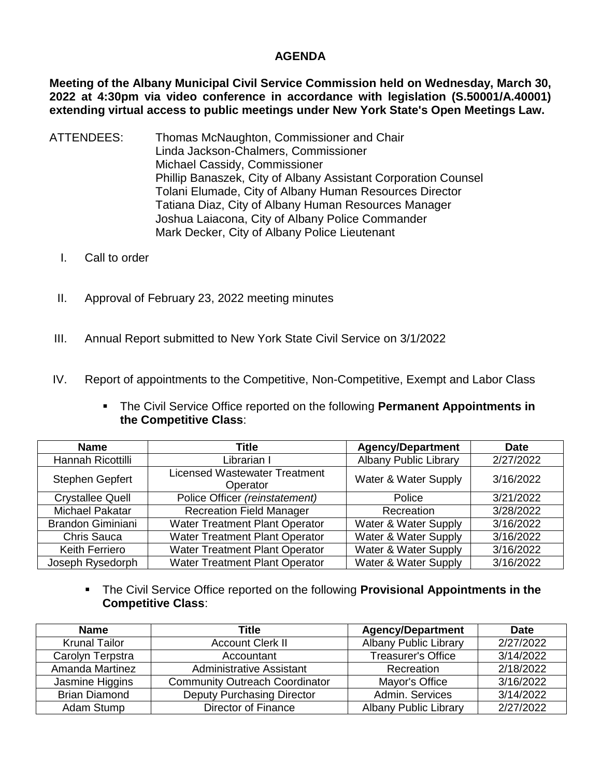## **AGENDA**

**Meeting of the Albany Municipal Civil Service Commission held on Wednesday, March 30, 2022 at 4:30pm via video conference in accordance with legislation (S.50001/A.40001) extending virtual access to public meetings under New York State's Open Meetings Law.** 

- ATTENDEES: Thomas McNaughton, Commissioner and Chair Linda Jackson-Chalmers, Commissioner Michael Cassidy, Commissioner Phillip Banaszek, City of Albany Assistant Corporation Counsel Tolani Elumade, City of Albany Human Resources Director Tatiana Diaz, City of Albany Human Resources Manager Joshua Laiacona, City of Albany Police Commander Mark Decker, City of Albany Police Lieutenant
	- I. Call to order
	- II. Approval of February 23, 2022 meeting minutes
- III. Annual Report submitted to New York State Civil Service on 3/1/2022
- IV. Report of appointments to the Competitive, Non-Competitive, Exempt and Labor Class
	- The Civil Service Office reported on the following **Permanent Appointments in the Competitive Class**:

| <b>Name</b>              | Title                                            | <b>Agency/Department</b>     | <b>Date</b> |
|--------------------------|--------------------------------------------------|------------------------------|-------------|
| Hannah Ricottilli        | Librarian I                                      | <b>Albany Public Library</b> | 2/27/2022   |
| Stephen Gepfert          | <b>Licensed Wastewater Treatment</b><br>Operator | Water & Water Supply         | 3/16/2022   |
| <b>Crystallee Quell</b>  | Police Officer (reinstatement)                   | Police                       | 3/21/2022   |
| <b>Michael Pakatar</b>   | <b>Recreation Field Manager</b>                  | Recreation                   | 3/28/2022   |
| <b>Brandon Giminiani</b> | <b>Water Treatment Plant Operator</b>            | Water & Water Supply         | 3/16/2022   |
| <b>Chris Sauca</b>       | Water Treatment Plant Operator                   | Water & Water Supply         | 3/16/2022   |
| <b>Keith Ferriero</b>    | Water Treatment Plant Operator                   | Water & Water Supply         | 3/16/2022   |
| Joseph Rysedorph         | Water Treatment Plant Operator                   | Water & Water Supply         | 3/16/2022   |

 The Civil Service Office reported on the following **Provisional Appointments in the Competitive Class**:

| <b>Name</b>          | Title                                 | <b>Agency/Department</b>     | <b>Date</b> |
|----------------------|---------------------------------------|------------------------------|-------------|
| <b>Krunal Tailor</b> | <b>Account Clerk II</b>               | <b>Albany Public Library</b> | 2/27/2022   |
| Carolyn Terpstra     | Accountant                            | <b>Treasurer's Office</b>    | 3/14/2022   |
| Amanda Martinez      | Administrative Assistant              | Recreation                   | 2/18/2022   |
| Jasmine Higgins      | <b>Community Outreach Coordinator</b> | Mayor's Office               | 3/16/2022   |
| <b>Brian Diamond</b> | <b>Deputy Purchasing Director</b>     | Admin, Services              | 3/14/2022   |
| Adam Stump           | Director of Finance                   | <b>Albany Public Library</b> | 2/27/2022   |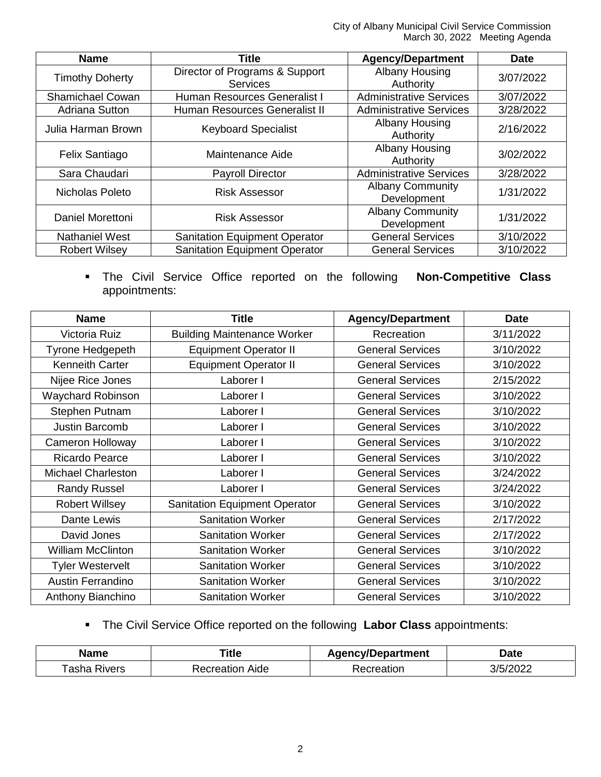City of Albany Municipal Civil Service Commission March 30, 2022 Meeting Agenda

| <b>Name</b>             | <b>Title</b>                         | <b>Agency/Department</b>       | <b>Date</b> |  |
|-------------------------|--------------------------------------|--------------------------------|-------------|--|
| <b>Timothy Doherty</b>  | Director of Programs & Support       | Albany Housing                 | 3/07/2022   |  |
|                         | <b>Services</b>                      | Authority                      |             |  |
| <b>Shamichael Cowan</b> | Human Resources Generalist I         | <b>Administrative Services</b> | 3/07/2022   |  |
| Adriana Sutton          | Human Resources Generalist II        | <b>Administrative Services</b> | 3/28/2022   |  |
| Julia Harman Brown      | <b>Keyboard Specialist</b>           | Albany Housing                 | 2/16/2022   |  |
|                         |                                      | Authority                      |             |  |
| Felix Santiago          | Maintenance Aide                     | Albany Housing                 | 3/02/2022   |  |
|                         |                                      | Authority                      |             |  |
| Sara Chaudari           | <b>Payroll Director</b>              | <b>Administrative Services</b> | 3/28/2022   |  |
| Nicholas Poleto         | <b>Risk Assessor</b>                 | <b>Albany Community</b>        | 1/31/2022   |  |
|                         |                                      | Development                    |             |  |
| Daniel Morettoni        | <b>Risk Assessor</b>                 | <b>Albany Community</b>        | 1/31/2022   |  |
|                         |                                      | Development                    |             |  |
| <b>Nathaniel West</b>   | <b>Sanitation Equipment Operator</b> | <b>General Services</b>        | 3/10/2022   |  |
| <b>Robert Wilsey</b>    | <b>Sanitation Equipment Operator</b> | <b>General Services</b>        | 3/10/2022   |  |

 The Civil Service Office reported on the following **Non-Competitive Class** appointments:

| <b>Name</b>               | <b>Title</b>                         | <b>Agency/Department</b> | <b>Date</b> |
|---------------------------|--------------------------------------|--------------------------|-------------|
| Victoria Ruiz             | <b>Building Maintenance Worker</b>   | Recreation               | 3/11/2022   |
| Tyrone Hedgepeth          | <b>Equipment Operator II</b>         | <b>General Services</b>  | 3/10/2022   |
| <b>Kenneith Carter</b>    | <b>Equipment Operator II</b>         | <b>General Services</b>  | 3/10/2022   |
| Nijee Rice Jones          | Laborer I                            | <b>General Services</b>  | 2/15/2022   |
| <b>Waychard Robinson</b>  | Laborer I                            | <b>General Services</b>  | 3/10/2022   |
| Stephen Putnam            | Laborer I                            | <b>General Services</b>  | 3/10/2022   |
| <b>Justin Barcomb</b>     | Laborer I                            | <b>General Services</b>  | 3/10/2022   |
| <b>Cameron Holloway</b>   | Laborer I                            | <b>General Services</b>  | 3/10/2022   |
| <b>Ricardo Pearce</b>     | Laborer I                            | <b>General Services</b>  | 3/10/2022   |
| <b>Michael Charleston</b> | Laborer I                            | <b>General Services</b>  | 3/24/2022   |
| <b>Randy Russel</b>       | Laborer I                            | <b>General Services</b>  | 3/24/2022   |
| <b>Robert Willsey</b>     | <b>Sanitation Equipment Operator</b> | <b>General Services</b>  | 3/10/2022   |
| Dante Lewis               | <b>Sanitation Worker</b>             | <b>General Services</b>  | 2/17/2022   |
| David Jones               | <b>Sanitation Worker</b>             | <b>General Services</b>  | 2/17/2022   |
| <b>William McClinton</b>  | <b>Sanitation Worker</b>             | <b>General Services</b>  | 3/10/2022   |
| <b>Tyler Westervelt</b>   | <b>Sanitation Worker</b>             | <b>General Services</b>  | 3/10/2022   |
| <b>Austin Ferrandino</b>  | <b>Sanitation Worker</b>             | <b>General Services</b>  | 3/10/2022   |
| Anthony Bianchino         | <b>Sanitation Worker</b>             | <b>General Services</b>  | 3/10/2022   |

The Civil Service Office reported on the following **Labor Class** appointments:

| Name           | . itle            | \aencv/Department | Date  |
|----------------|-------------------|-------------------|-------|
| asha<br>'ivers | Aide<br>۰ω<br>ног | eation            | 10000 |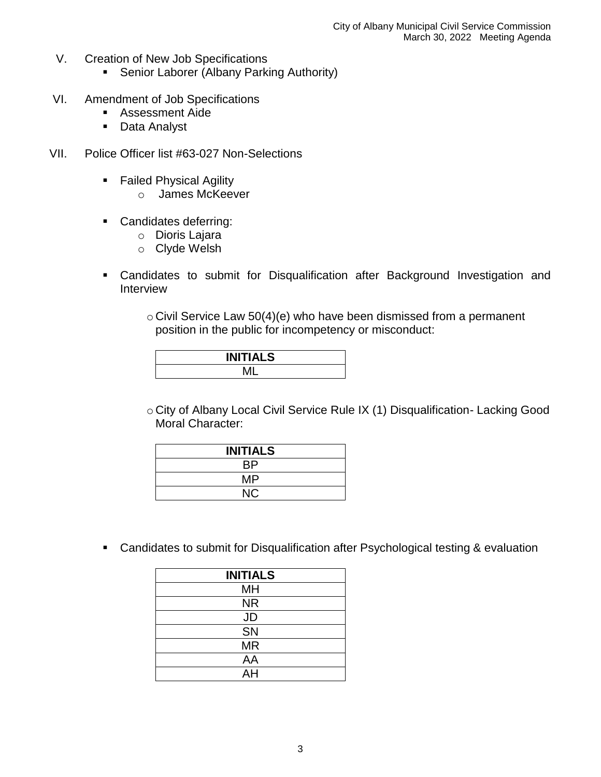- V. Creation of New Job Specifications
	- **Senior Laborer (Albany Parking Authority)**
- VI. Amendment of Job Specifications
	- Assessment Aide
	- **Data Analyst**
- VII. Police Officer list #63-027 Non-Selections
	- **Failed Physical Agility** 
		- o James McKeever
	- **Candidates deferring:** 
		- o Dioris Lajara
		- o Clyde Welsh
	- Candidates to submit for Disqualification after Background Investigation and Interview
		- $\circ$  Civil Service Law 50(4)(e) who have been dismissed from a permanent position in the public for incompetency or misconduct:

| <b>INITIALS</b> |  |
|-----------------|--|
|                 |  |

o City of Albany Local Civil Service Rule IX (1) Disqualification- Lacking Good Moral Character:

| <b>INITIALS</b> |
|-----------------|
| ВP              |
| MP              |
| <b>NC</b>       |

Candidates to submit for Disqualification after Psychological testing & evaluation

| <b>INITIALS</b> |
|-----------------|
| MH              |
| <b>NR</b>       |
| <b>JD</b>       |
| SN              |
| <b>MR</b>       |
| AA              |
| AH              |